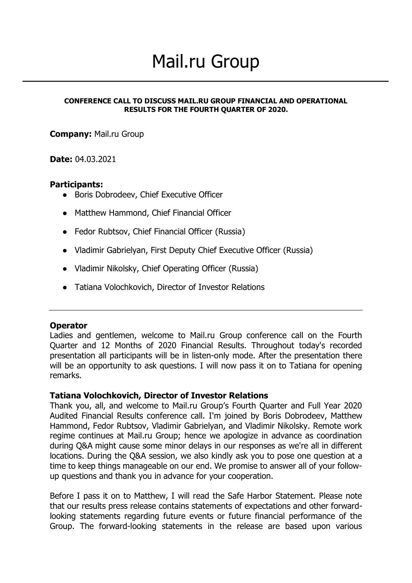# Mail.ru Group

#### **CONFERENCE CALL TO DISCUSS MAIL.RU GROUP FINANCIAL AND OPERATIONAL RESULTS FOR THE FOURTH QUARTER OF 2020.**

**Company:** Mail.ru Group

#### **Date:** 04.03.2021

#### **Participants:**

- Boris Dobrodeev, Chief Executive Officer
- Matthew Hammond, Chief Financial Officer
- Fedor Rubtsov, Chief Financial Officer (Russia)
- Vladimir Gabrielyan, First Deputy Chief Executive Officer (Russia)
- Vladimir Nikolsky, Chief Operating Officer (Russia)
- Tatiana Volochkovich, Director of Investor Relations

#### **Operator**

Ladies and gentlemen, welcome to Mail.ru Group conference call on the Fourth Quarter and 12 Months of 2020 Financial Results. Throughout today's recorded presentation all participants will be in listen-only mode. After the presentation there will be an opportunity to ask questions. I will now pass it on to Tatiana for opening remarks.

#### **Tatiana Volochkovich, Director of Investor Relations**

Thank you, all, and welcome to Mail.ru Group's Fourth Quarter and Full Year 2020 Audited Financial Results conference call. I'm joined by Boris Dobrodeev, Matthew Hammond, Fedor Rubtsov, Vladimir Gabrielyan, and Vladimir Nikolsky. Remote work regime continues at Mail.ru Group; hence we apologize in advance as coordination during Q&A might cause some minor delays in our responses as we're all in different locations. During the Q&A session, we also kindly ask you to pose one question at a time to keep things manageable on our end. We promise to answer all of your followup questions and thank you in advance for your cooperation.

Before I pass it on to Matthew, I will read the Safe Harbor Statement. Please note that our results press release contains statements of expectations and other forwardlooking statements regarding future events or future financial performance of the Group. The forward-looking statements in the release are based upon various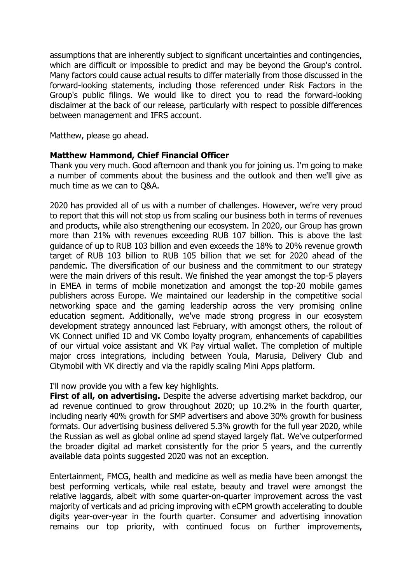assumptions that are inherently subject to significant uncertainties and contingencies, which are difficult or impossible to predict and may be beyond the Group's control. Many factors could cause actual results to differ materially from those discussed in the forward-looking statements, including those referenced under Risk Factors in the Group's public filings. We would like to direct you to read the forward-looking disclaimer at the back of our release, particularly with respect to possible differences between management and IFRS account.

Matthew, please go ahead.

## **Matthew Hammond, Chief Financial Officer**

Thank you very much. Good afternoon and thank you for joining us. I'm going to make a number of comments about the business and the outlook and then we'll give as much time as we can to Q&A.

2020 has provided all of us with a number of challenges. However, we're very proud to report that this will not stop us from scaling our business both in terms of revenues and products, while also strengthening our ecosystem. In 2020, our Group has grown more than 21% with revenues exceeding RUB 107 billion. This is above the last guidance of up to RUB 103 billion and even exceeds the 18% to 20% revenue growth target of RUB 103 billion to RUB 105 billion that we set for 2020 ahead of the pandemic. The diversification of our business and the commitment to our strategy were the main drivers of this result. We finished the year amongst the top-5 players in EMEA in terms of mobile monetization and amongst the top-20 mobile games publishers across Europe. We maintained our leadership in the competitive social networking space and the gaming leadership across the very promising online education segment. Additionally, we've made strong progress in our ecosystem development strategy announced last February, with amongst others, the rollout of VK Connect unified ID and VK Combo loyalty program, enhancements of capabilities of our virtual voice assistant and VK Pay virtual wallet. The completion of multiple major cross integrations, including between Youla, Marusia, Delivery Club and Citymobil with VK directly and via the rapidly scaling Mini Apps platform.

#### I'll now provide you with a few key highlights.

**First of all, on advertising.** Despite the adverse advertising market backdrop, our ad revenue continued to grow throughout 2020; up 10.2% in the fourth quarter, including nearly 40% growth for SMP advertisers and above 30% growth for business formats. Our advertising business delivered 5.3% growth for the full year 2020, while the Russian as well as global online ad spend stayed largely flat. We've outperformed the broader digital ad market consistently for the prior 5 years, and the currently available data points suggested 2020 was not an exception.

Entertainment, FMCG, health and medicine as well as media have been amongst the best performing verticals, while real estate, beauty and travel were amongst the relative laggards, albeit with some quarter-on-quarter improvement across the vast majority of verticals and ad pricing improving with eCPM growth accelerating to double digits year-over-year in the fourth quarter. Consumer and advertising innovation remains our top priority, with continued focus on further improvements,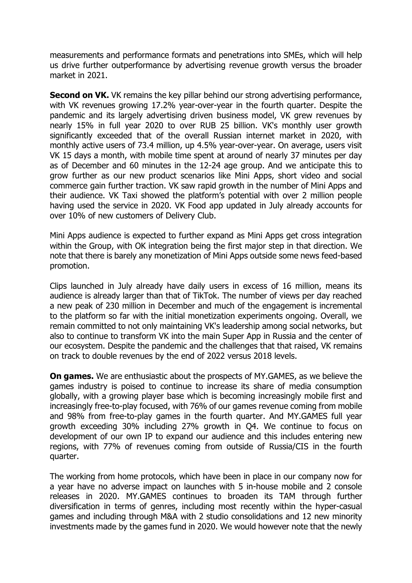measurements and performance formats and penetrations into SMEs, which will help us drive further outperformance by advertising revenue growth versus the broader market in 2021.

**Second on VK.** VK remains the key pillar behind our strong advertising performance, with VK revenues growing 17.2% year-over-year in the fourth quarter. Despite the pandemic and its largely advertising driven business model, VK grew revenues by nearly 15% in full year 2020 to over RUB 25 billion. VK's monthly user growth significantly exceeded that of the overall Russian internet market in 2020, with monthly active users of 73.4 million, up 4.5% year-over-year. On average, users visit VK 15 days a month, with mobile time spent at around of nearly 37 minutes per day as of December and 60 minutes in the 12-24 age group. And we anticipate this to grow further as our new product scenarios like Mini Apps, short video and social commerce gain further traction. VK saw rapid growth in the number of Mini Apps and their audience. VK Taxi showed the platform's potential with over 2 million people having used the service in 2020. VK Food app updated in July already accounts for over 10% of new customers of Delivery Club.

Mini Apps audience is expected to further expand as Mini Apps get cross integration within the Group, with OK integration being the first major step in that direction. We note that there is barely any monetization of Mini Apps outside some news feed-based promotion.

Clips launched in July already have daily users in excess of 16 million, means its audience is already larger than that of TikTok. The number of views per day reached a new peak of 230 million in December and much of the engagement is incremental to the platform so far with the initial monetization experiments ongoing. Overall, we remain committed to not only maintaining VK's leadership among social networks, but also to continue to transform VK into the main Super App in Russia and the center of our ecosystem. Despite the pandemic and the challenges that that raised, VK remains on track to double revenues by the end of 2022 versus 2018 levels.

**On games.** We are enthusiastic about the prospects of MY.GAMES, as we believe the games industry is poised to continue to increase its share of media consumption globally, with a growing player base which is becoming increasingly mobile first and increasingly free-to-play focused, with 76% of our games revenue coming from mobile and 98% from free-to-play games in the fourth quarter. And MY.GAMES full year growth exceeding 30% including 27% growth in Q4. We continue to focus on development of our own IP to expand our audience and this includes entering new regions, with 77% of revenues coming from outside of Russia/CIS in the fourth quarter.

The working from home protocols, which have been in place in our company now for a year have no adverse impact on launches with 5 in-house mobile and 2 console releases in 2020. MY.GAMES continues to broaden its TAM through further diversification in terms of genres, including most recently within the hyper-casual games and including through M&A with 2 studio consolidations and 12 new minority investments made by the games fund in 2020. We would however note that the newly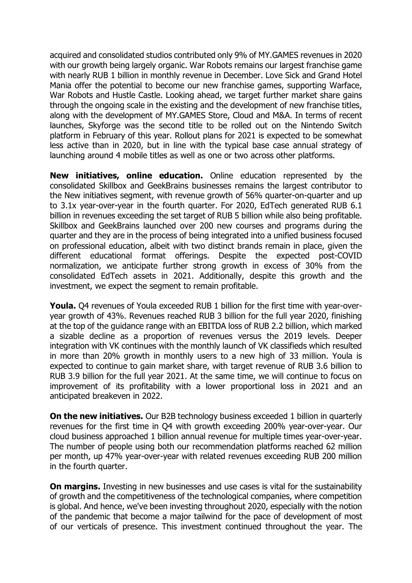acquired and consolidated studios contributed only 9% of MY.GAMES revenues in 2020 with our growth being largely organic. War Robots remains our largest franchise game with nearly RUB 1 billion in monthly revenue in December. Love Sick and Grand Hotel Mania offer the potential to become our new franchise games, supporting Warface, War Robots and Hustle Castle. Looking ahead, we target further market share gains through the ongoing scale in the existing and the development of new franchise titles, along with the development of MY.GAMES Store, Cloud and M&A. In terms of recent launches, Skyforge was the second title to be rolled out on the Nintendo Switch platform in February of this year. Rollout plans for 2021 is expected to be somewhat less active than in 2020, but in line with the typical base case annual strategy of launching around 4 mobile titles as well as one or two across other platforms.

**New initiatives, online education.** Online education represented by the consolidated Skillbox and GeekBrains businesses remains the largest contributor to the New initiatives segment, with revenue growth of 56% quarter-on-quarter and up to 3.1x year-over-year in the fourth quarter. For 2020, EdTech generated RUB 6.1 billion in revenues exceeding the set target of RUB 5 billion while also being profitable. Skillbox and GeekBrains launched over 200 new courses and programs during the quarter and they are in the process of being integrated into a unified business focused on professional education, albeit with two distinct brands remain in place, given the different educational format offerings. Despite the expected post-COVID normalization, we anticipate further strong growth in excess of 30% from the consolidated EdTech assets in 2021. Additionally, despite this growth and the investment, we expect the segment to remain profitable.

**Youla.** Q4 revenues of Youla exceeded RUB 1 billion for the first time with year-overyear growth of 43%. Revenues reached RUB 3 billion for the full year 2020, finishing at the top of the guidance range with an EBITDA loss of RUB 2.2 billion, which marked a sizable decline as a proportion of revenues versus the 2019 levels. Deeper integration with VK continues with the monthly launch of VK classifieds which resulted in more than 20% growth in monthly users to a new high of 33 million. Youla is expected to continue to gain market share, with target revenue of RUB 3.6 billion to RUB 3.9 billion for the full year 2021. At the same time, we will continue to focus on improvement of its profitability with a lower proportional loss in 2021 and an anticipated breakeven in 2022.

**On the new initiatives.** Our B2B technology business exceeded 1 billion in quarterly revenues for the first time in Q4 with growth exceeding 200% year-over-year. Our cloud business approached 1 billion annual revenue for multiple times year-over-year. The number of people using both our recommendation platforms reached 62 million per month, up 47% year-over-year with related revenues exceeding RUB 200 million in the fourth quarter.

**On margins.** Investing in new businesses and use cases is vital for the sustainability of growth and the competitiveness of the technological companies, where competition is global. And hence, we've been investing throughout 2020, especially with the notion of the pandemic that become a major tailwind for the pace of development of most of our verticals of presence. This investment continued throughout the year. The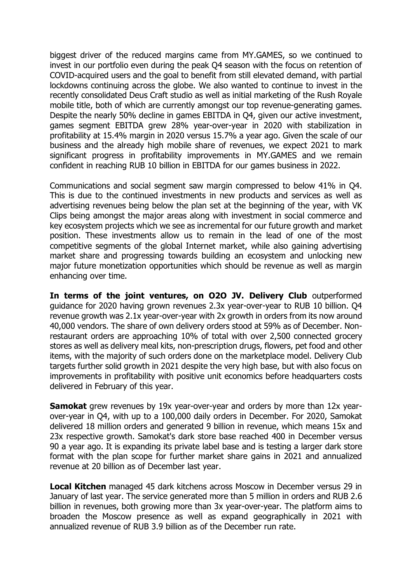biggest driver of the reduced margins came from MY.GAMES, so we continued to invest in our portfolio even during the peak Q4 season with the focus on retention of COVID-acquired users and the goal to benefit from still elevated demand, with partial lockdowns continuing across the globe. We also wanted to continue to invest in the recently consolidated Deus Craft studio as well as initial marketing of the Rush Royale mobile title, both of which are currently amongst our top revenue-generating games. Despite the nearly 50% decline in games EBITDA in Q4, given our active investment, games segment EBITDA grew 28% year-over-year in 2020 with stabilization in profitability at 15.4% margin in 2020 versus 15.7% a year ago. Given the scale of our business and the already high mobile share of revenues, we expect 2021 to mark significant progress in profitability improvements in MY.GAMES and we remain confident in reaching RUB 10 billion in EBITDA for our games business in 2022.

Communications and social segment saw margin compressed to below 41% in Q4. This is due to the continued investments in new products and services as well as advertising revenues being below the plan set at the beginning of the year, with VK Clips being amongst the major areas along with investment in social commerce and key ecosystem projects which we see as incremental for our future growth and market position. These investments allow us to remain in the lead of one of the most competitive segments of the global Internet market, while also gaining advertising market share and progressing towards building an ecosystem and unlocking new major future monetization opportunities which should be revenue as well as margin enhancing over time.

**In terms of the joint ventures, on O2O JV. Delivery Club** outperformed guidance for 2020 having grown revenues 2.3x year-over-year to RUB 10 billion. Q4 revenue growth was 2.1x year-over-year with 2x growth in orders from its now around 40,000 vendors. The share of own delivery orders stood at 59% as of December. Nonrestaurant orders are approaching 10% of total with over 2,500 connected grocery stores as well as delivery meal kits, non-prescription drugs, flowers, pet food and other items, with the majority of such orders done on the marketplace model. Delivery Club targets further solid growth in 2021 despite the very high base, but with also focus on improvements in profitability with positive unit economics before headquarters costs delivered in February of this year.

**Samokat** grew revenues by 19x year-over-year and orders by more than 12x yearover-year in Q4, with up to a 100,000 daily orders in December. For 2020, Samokat delivered 18 million orders and generated 9 billion in revenue, which means 15x and 23x respective growth. Samokat's dark store base reached 400 in December versus 90 a year ago. It is expanding its private label base and is testing a larger dark store format with the plan scope for further market share gains in 2021 and annualized revenue at 20 billion as of December last year.

**Local Kitchen** managed 45 dark kitchens across Moscow in December versus 29 in January of last year. The service generated more than 5 million in orders and RUB 2.6 billion in revenues, both growing more than 3x year-over-year. The platform aims to broaden the Moscow presence as well as expand geographically in 2021 with annualized revenue of RUB 3.9 billion as of the December run rate.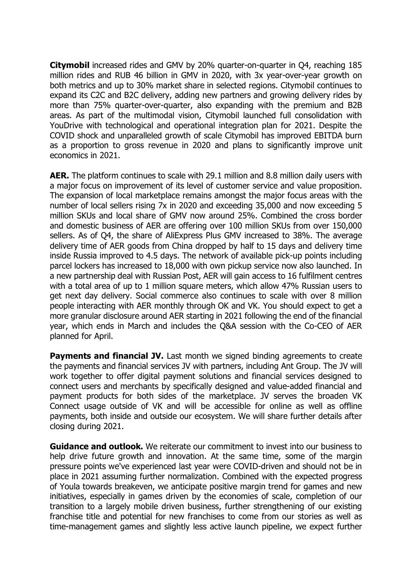**Citymobil** increased rides and GMV by 20% quarter-on-quarter in Q4, reaching 185 million rides and RUB 46 billion in GMV in 2020, with 3x year-over-year growth on both metrics and up to 30% market share in selected regions. Citymobil continues to expand its C2C and B2C delivery, adding new partners and growing delivery rides by more than 75% quarter-over-quarter, also expanding with the premium and B2B areas. As part of the multimodal vision, Citymobil launched full consolidation with YouDrive with technological and operational integration plan for 2021. Despite the COVID shock and unparalleled growth of scale Citymobil has improved EBITDA burn as a proportion to gross revenue in 2020 and plans to significantly improve unit economics in 2021.

**AER.** The platform continues to scale with 29.1 million and 8.8 million daily users with a major focus on improvement of its level of customer service and value proposition. The expansion of local marketplace remains amongst the major focus areas with the number of local sellers rising 7x in 2020 and exceeding 35,000 and now exceeding 5 million SKUs and local share of GMV now around 25%. Combined the cross border and domestic business of AER are offering over 100 million SKUs from over 150,000 sellers. As of Q4, the share of AliExpress Plus GMV increased to 38%. The average delivery time of AER goods from China dropped by half to 15 days and delivery time inside Russia improved to 4.5 days. The network of available pick-up points including parcel lockers has increased to 18,000 with own pickup service now also launched. In a new partnership deal with Russian Post, AER will gain access to 16 fulfilment centres with a total area of up to 1 million square meters, which allow 47% Russian users to get next day delivery. Social commerce also continues to scale with over 8 million people interacting with AER monthly through OK and VK. You should expect to get a more granular disclosure around AER starting in 2021 following the end of the financial year, which ends in March and includes the Q&A session with the Co-CEO of AER planned for April.

**Payments and financial JV.** Last month we signed binding agreements to create the payments and financial services JV with partners, including Ant Group. The JV will work together to offer digital payment solutions and financial services designed to connect users and merchants by specifically designed and value-added financial and payment products for both sides of the marketplace. JV serves the broaden VK Connect usage outside of VK and will be accessible for online as well as offline payments, both inside and outside our ecosystem. We will share further details after closing during 2021.

**Guidance and outlook.** We reiterate our commitment to invest into our business to help drive future growth and innovation. At the same time, some of the margin pressure points we've experienced last year were COVID-driven and should not be in place in 2021 assuming further normalization. Combined with the expected progress of Youla towards breakeven, we anticipate positive margin trend for games and new initiatives, especially in games driven by the economies of scale, completion of our transition to a largely mobile driven business, further strengthening of our existing franchise title and potential for new franchises to come from our stories as well as time-management games and slightly less active launch pipeline, we expect further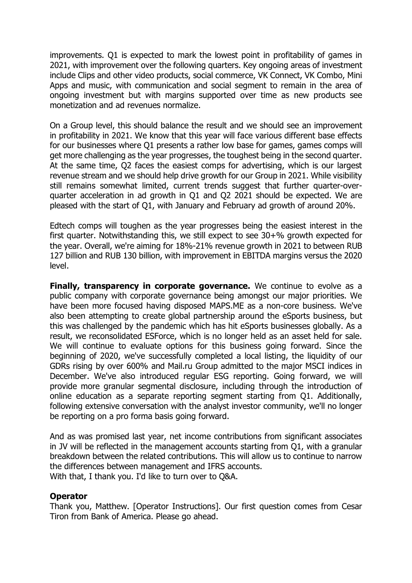improvements. Q1 is expected to mark the lowest point in profitability of games in 2021, with improvement over the following quarters. Key ongoing areas of investment include Clips and other video products, social commerce, VK Connect, VK Combo, Mini Apps and music, with communication and social segment to remain in the area of ongoing investment but with margins supported over time as new products see monetization and ad revenues normalize.

On a Group level, this should balance the result and we should see an improvement in profitability in 2021. We know that this year will face various different base effects for our businesses where Q1 presents a rather low base for games, games comps will get more challenging as the year progresses, the toughest being in the second quarter. At the same time, Q2 faces the easiest comps for advertising, which is our largest revenue stream and we should help drive growth for our Group in 2021. While visibility still remains somewhat limited, current trends suggest that further quarter-overquarter acceleration in ad growth in Q1 and Q2 2021 should be expected. We are pleased with the start of Q1, with January and February ad growth of around 20%.

Edtech comps will toughen as the year progresses being the easiest interest in the first quarter. Notwithstanding this, we still expect to see 30+% growth expected for the year. Overall, we're aiming for 18%-21% revenue growth in 2021 to between RUB 127 billion and RUB 130 billion, with improvement in EBITDA margins versus the 2020 level.

**Finally, transparency in corporate governance.** We continue to evolve as a public company with corporate governance being amongst our major priorities. We have been more focused having disposed MAPS.ME as a non-core business. We've also been attempting to create global partnership around the eSports business, but this was challenged by the pandemic which has hit eSports businesses globally. As a result, we reconsolidated ESForce, which is no longer held as an asset held for sale. We will continue to evaluate options for this business going forward. Since the beginning of 2020, we've successfully completed a local listing, the liquidity of our GDRs rising by over 600% and Mail.ru Group admitted to the major MSCI indices in December. We've also introduced regular ESG reporting. Going forward, we will provide more granular segmental disclosure, including through the introduction of online education as a separate reporting segment starting from Q1. Additionally, following extensive conversation with the analyst investor community, we'll no longer be reporting on a pro forma basis going forward.

And as was promised last year, net income contributions from significant associates in JV will be reflected in the management accounts starting from Q1, with a granular breakdown between the related contributions. This will allow us to continue to narrow the differences between management and IFRS accounts. With that, I thank you. I'd like to turn over to Q&A.

#### **Operator**

Thank you, Matthew. [Operator Instructions]. Our first question comes from Cesar Tiron from Bank of America. Please go ahead.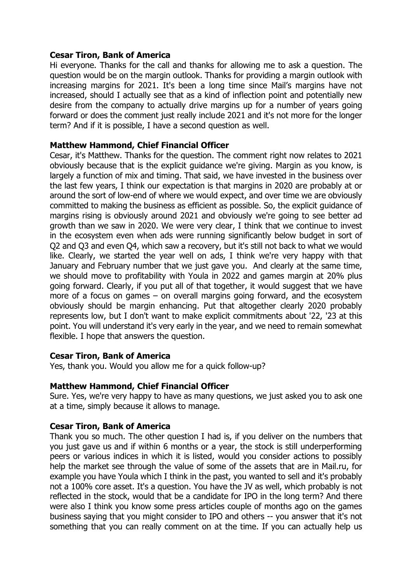## **Cesar Tiron, Bank of America**

Hi everyone. Thanks for the call and thanks for allowing me to ask a question. The question would be on the margin outlook. Thanks for providing a margin outlook with increasing margins for 2021. It's been a long time since Mail's margins have not increased, should I actually see that as a kind of inflection point and potentially new desire from the company to actually drive margins up for a number of years going forward or does the comment just really include 2021 and it's not more for the longer term? And if it is possible, I have a second question as well.

## **Matthew Hammond, Chief Financial Officer**

Cesar, it's Matthew. Thanks for the question. The comment right now relates to 2021 obviously because that is the explicit guidance we're giving. Margin as you know, is largely a function of mix and timing. That said, we have invested in the business over the last few years, I think our expectation is that margins in 2020 are probably at or around the sort of low-end of where we would expect, and over time we are obviously committed to making the business as efficient as possible. So, the explicit guidance of margins rising is obviously around 2021 and obviously we're going to see better ad growth than we saw in 2020. We were very clear, I think that we continue to invest in the ecosystem even when ads were running significantly below budget in sort of Q2 and Q3 and even Q4, which saw a recovery, but it's still not back to what we would like. Clearly, we started the year well on ads, I think we're very happy with that January and February number that we just gave you. And clearly at the same time, we should move to profitability with Youla in 2022 and games margin at 20% plus going forward. Clearly, if you put all of that together, it would suggest that we have more of a focus on games – on overall margins going forward, and the ecosystem obviously should be margin enhancing. Put that altogether clearly 2020 probably represents low, but I don't want to make explicit commitments about '22, '23 at this point. You will understand it's very early in the year, and we need to remain somewhat flexible. I hope that answers the question.

#### **Cesar Tiron, Bank of America**

Yes, thank you. Would you allow me for a quick follow-up?

#### **Matthew Hammond, Chief Financial Officer**

Sure. Yes, we're very happy to have as many questions, we just asked you to ask one at a time, simply because it allows to manage.

#### **Cesar Tiron, Bank of America**

Thank you so much. The other question I had is, if you deliver on the numbers that you just gave us and if within 6 months or a year, the stock is still underperforming peers or various indices in which it is listed, would you consider actions to possibly help the market see through the value of some of the assets that are in Mail.ru, for example you have Youla which I think in the past, you wanted to sell and it's probably not a 100% core asset. It's a question. You have the JV as well, which probably is not reflected in the stock, would that be a candidate for IPO in the long term? And there were also I think you know some press articles couple of months ago on the games business saying that you might consider to IPO and others -- you answer that it's not something that you can really comment on at the time. If you can actually help us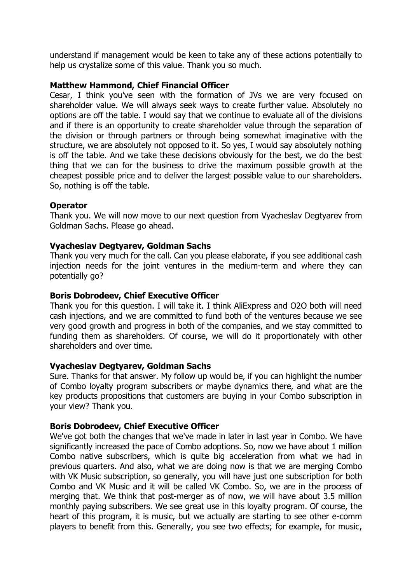understand if management would be keen to take any of these actions potentially to help us crystalize some of this value. Thank you so much.

## **Matthew Hammond, Chief Financial Officer**

Cesar, I think you've seen with the formation of JVs we are very focused on shareholder value. We will always seek ways to create further value. Absolutely no options are off the table. I would say that we continue to evaluate all of the divisions and if there is an opportunity to create shareholder value through the separation of the division or through partners or through being somewhat imaginative with the structure, we are absolutely not opposed to it. So yes, I would say absolutely nothing is off the table. And we take these decisions obviously for the best, we do the best thing that we can for the business to drive the maximum possible growth at the cheapest possible price and to deliver the largest possible value to our shareholders. So, nothing is off the table.

## **Operator**

Thank you. We will now move to our next question from Vyacheslav Degtyarev from Goldman Sachs. Please go ahead.

## **Vyacheslav Degtyarev, Goldman Sachs**

Thank you very much for the call. Can you please elaborate, if you see additional cash injection needs for the joint ventures in the medium-term and where they can potentially go?

#### **Boris Dobrodeev, Chief Executive Officer**

Thank you for this question. I will take it. I think AliExpress and O2O both will need cash injections, and we are committed to fund both of the ventures because we see very good growth and progress in both of the companies, and we stay committed to funding them as shareholders. Of course, we will do it proportionately with other shareholders and over time.

#### **Vyacheslav Degtyarev, Goldman Sachs**

Sure. Thanks for that answer. My follow up would be, if you can highlight the number of Combo loyalty program subscribers or maybe dynamics there, and what are the key products propositions that customers are buying in your Combo subscription in your view? Thank you.

#### **Boris Dobrodeev, Chief Executive Officer**

We've got both the changes that we've made in later in last year in Combo. We have significantly increased the pace of Combo adoptions. So, now we have about 1 million Combo native subscribers, which is quite big acceleration from what we had in previous quarters. And also, what we are doing now is that we are merging Combo with VK Music subscription, so generally, you will have just one subscription for both Combo and VK Music and it will be called VK Combo. So, we are in the process of merging that. We think that post-merger as of now, we will have about 3.5 million monthly paying subscribers. We see great use in this loyalty program. Of course, the heart of this program, it is music, but we actually are starting to see other e-comm players to benefit from this. Generally, you see two effects; for example, for music,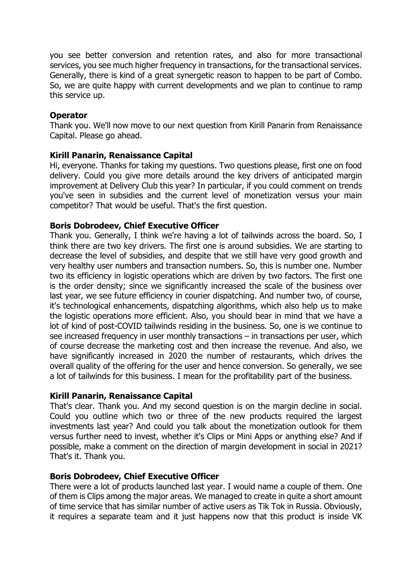you see better conversion and retention rates, and also for more transactional services, you see much higher frequency in transactions, for the transactional services. Generally, there is kind of a great synergetic reason to happen to be part of Combo. So, we are quite happy with current developments and we plan to continue to ramp this service up.

## **Operator**

Thank you. We'll now move to our next question from Kirill Panarin from Renaissance Capital. Please go ahead.

## **Kirill Panarin, Renaissance Capital**

Hi, everyone. Thanks for taking my questions. Two questions please, first one on food delivery. Could you give more details around the key drivers of anticipated margin improvement at Delivery Club this year? In particular, if you could comment on trends you've seen in subsidies and the current level of monetization versus your main competitor? That would be useful. That's the first question.

## **Boris Dobrodeev, Chief Executive Officer**

Thank you. Generally, I think we're having a lot of tailwinds across the board. So, I think there are two key drivers. The first one is around subsidies. We are starting to decrease the level of subsidies, and despite that we still have very good growth and very healthy user numbers and transaction numbers. So, this is number one. Number two its efficiency in logistic operations which are driven by two factors. The first one is the order density; since we significantly increased the scale of the business over last year, we see future efficiency in courier dispatching. And number two, of course, it's technological enhancements, dispatching algorithms, which also help us to make the logistic operations more efficient. Also, you should bear in mind that we have a lot of kind of post-COVID tailwinds residing in the business. So, one is we continue to see increased frequency in user monthly transactions – in transactions per user, which of course decrease the marketing cost and then increase the revenue. And also, we have significantly increased in 2020 the number of restaurants, which drives the overall quality of the offering for the user and hence conversion. So generally, we see a lot of tailwinds for this business. I mean for the profitability part of the business.

#### **Kirill Panarin, Renaissance Capital**

That's clear. Thank you. And my second question is on the margin decline in social. Could you outline which two or three of the new products required the largest investments last year? And could you talk about the monetization outlook for them versus further need to invest, whether it's Clips or Mini Apps or anything else? And if possible, make a comment on the direction of margin development in social in 2021? That's it. Thank you.

#### **Boris Dobrodeev, Chief Executive Officer**

There were a lot of products launched last year. I would name a couple of them. One of them is Clips among the major areas. We managed to create in quite a short amount of time service that has similar number of active users as Tik Tok in Russia. Obviously, it requires a separate team and it just happens now that this product is inside VK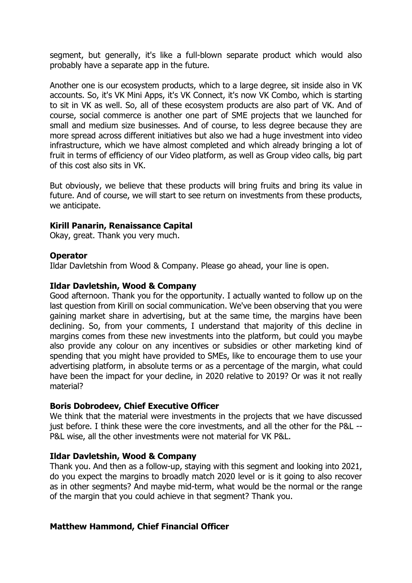segment, but generally, it's like a full-blown separate product which would also probably have a separate app in the future.

Another one is our ecosystem products, which to a large degree, sit inside also in VK accounts. So, it's VK Mini Apps, it's VK Connect, it's now VK Combo, which is starting to sit in VK as well. So, all of these ecosystem products are also part of VK. And of course, social commerce is another one part of SME projects that we launched for small and medium size businesses. And of course, to less degree because they are more spread across different initiatives but also we had a huge investment into video infrastructure, which we have almost completed and which already bringing a lot of fruit in terms of efficiency of our Video platform, as well as Group video calls, big part of this cost also sits in VK.

But obviously, we believe that these products will bring fruits and bring its value in future. And of course, we will start to see return on investments from these products, we anticipate.

## **Kirill Panarin, Renaissance Capital**

Okay, great. Thank you very much.

#### **Operator**

Ildar Davletshin from Wood & Company. Please go ahead, your line is open.

#### **Ildar Davletshin, Wood & Company**

Good afternoon. Thank you for the opportunity. I actually wanted to follow up on the last question from Kirill on social communication. We've been observing that you were gaining market share in advertising, but at the same time, the margins have been declining. So, from your comments, I understand that majority of this decline in margins comes from these new investments into the platform, but could you maybe also provide any colour on any incentives or subsidies or other marketing kind of spending that you might have provided to SMEs, like to encourage them to use your advertising platform, in absolute terms or as a percentage of the margin, what could have been the impact for your decline, in 2020 relative to 2019? Or was it not really material?

#### **Boris Dobrodeev, Chief Executive Officer**

We think that the material were investments in the projects that we have discussed just before. I think these were the core investments, and all the other for the P&L -- P&L wise, all the other investments were not material for VK P&L.

#### **Ildar Davletshin, Wood & Company**

Thank you. And then as a follow-up, staying with this segment and looking into 2021, do you expect the margins to broadly match 2020 level or is it going to also recover as in other segments? And maybe mid-term, what would be the normal or the range of the margin that you could achieve in that segment? Thank you.

#### **Matthew Hammond, Chief Financial Officer**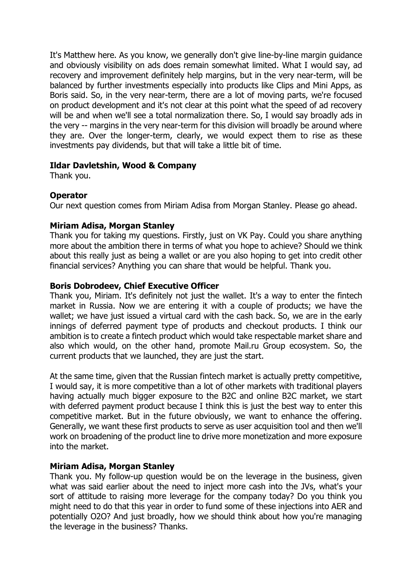It's Matthew here. As you know, we generally don't give line-by-line margin guidance and obviously visibility on ads does remain somewhat limited. What I would say, ad recovery and improvement definitely help margins, but in the very near-term, will be balanced by further investments especially into products like Clips and Mini Apps, as Boris said. So, in the very near-term, there are a lot of moving parts, we're focused on product development and it's not clear at this point what the speed of ad recovery will be and when we'll see a total normalization there. So, I would say broadly ads in the very -- margins in the very near-term for this division will broadly be around where they are. Over the longer-term, clearly, we would expect them to rise as these investments pay dividends, but that will take a little bit of time.

# **Ildar Davletshin, Wood & Company**

Thank you.

## **Operator**

Our next question comes from Miriam Adisa from Morgan Stanley. Please go ahead.

## **Miriam Adisa, Morgan Stanley**

Thank you for taking my questions. Firstly, just on VK Pay. Could you share anything more about the ambition there in terms of what you hope to achieve? Should we think about this really just as being a wallet or are you also hoping to get into credit other financial services? Anything you can share that would be helpful. Thank you.

## **Boris Dobrodeev, Chief Executive Officer**

Thank you, Miriam. It's definitely not just the wallet. It's a way to enter the fintech market in Russia. Now we are entering it with a couple of products; we have the wallet; we have just issued a virtual card with the cash back. So, we are in the early innings of deferred payment type of products and checkout products. I think our ambition is to create a fintech product which would take respectable market share and also which would, on the other hand, promote Mail.ru Group ecosystem. So, the current products that we launched, they are just the start.

At the same time, given that the Russian fintech market is actually pretty competitive, I would say, it is more competitive than a lot of other markets with traditional players having actually much bigger exposure to the B2C and online B2C market, we start with deferred payment product because I think this is just the best way to enter this competitive market. But in the future obviously, we want to enhance the offering. Generally, we want these first products to serve as user acquisition tool and then we'll work on broadening of the product line to drive more monetization and more exposure into the market.

# **Miriam Adisa, Morgan Stanley**

Thank you. My follow-up question would be on the leverage in the business, given what was said earlier about the need to inject more cash into the JVs, what's your sort of attitude to raising more leverage for the company today? Do you think you might need to do that this year in order to fund some of these injections into AER and potentially O2O? And just broadly, how we should think about how you're managing the leverage in the business? Thanks.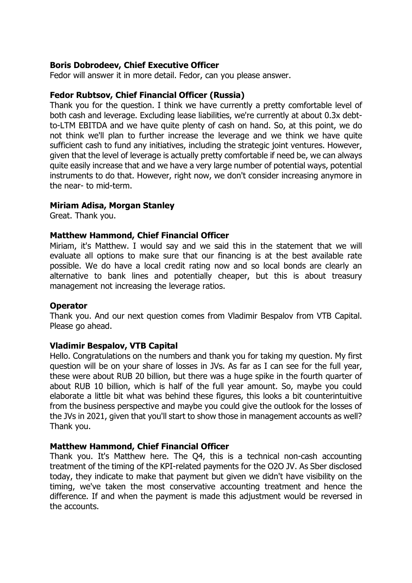## **Boris Dobrodeev, Chief Executive Officer**

Fedor will answer it in more detail. Fedor, can you please answer.

#### **Fedor Rubtsov, Chief Financial Officer (Russia)**

Thank you for the question. I think we have currently a pretty comfortable level of both cash and leverage. Excluding lease liabilities, we're currently at about 0.3x debtto-LTM EBITDA and we have quite plenty of cash on hand. So, at this point, we do not think we'll plan to further increase the leverage and we think we have quite sufficient cash to fund any initiatives, including the strategic joint ventures. However, given that the level of leverage is actually pretty comfortable if need be, we can always quite easily increase that and we have a very large number of potential ways, potential instruments to do that. However, right now, we don't consider increasing anymore in the near- to mid-term.

#### **Miriam Adisa, Morgan Stanley**

Great. Thank you.

#### **Matthew Hammond, Chief Financial Officer**

Miriam, it's Matthew. I would say and we said this in the statement that we will evaluate all options to make sure that our financing is at the best available rate possible. We do have a local credit rating now and so local bonds are clearly an alternative to bank lines and potentially cheaper, but this is about treasury management not increasing the leverage ratios.

#### **Operator**

Thank you. And our next question comes from Vladimir Bespalov from VTB Capital. Please go ahead.

#### **Vladimir Bespalov, VTB Capital**

Hello. Congratulations on the numbers and thank you for taking my question. My first question will be on your share of losses in JVs. As far as I can see for the full year, these were about RUB 20 billion, but there was a huge spike in the fourth quarter of about RUB 10 billion, which is half of the full year amount. So, maybe you could elaborate a little bit what was behind these figures, this looks a bit counterintuitive from the business perspective and maybe you could give the outlook for the losses of the JVs in 2021, given that you'll start to show those in management accounts as well? Thank you.

#### **Matthew Hammond, Chief Financial Officer**

Thank you. It's Matthew here. The Q4, this is a technical non-cash accounting treatment of the timing of the KPI-related payments for the O2O JV. As Sber disclosed today, they indicate to make that payment but given we didn't have visibility on the timing, we've taken the most conservative accounting treatment and hence the difference. If and when the payment is made this adjustment would be reversed in the accounts.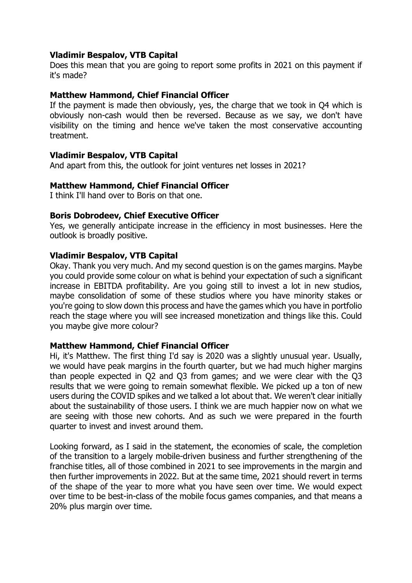## **Vladimir Bespalov, VTB Capital**

Does this mean that you are going to report some profits in 2021 on this payment if it's made?

## **Matthew Hammond, Chief Financial Officer**

If the payment is made then obviously, yes, the charge that we took in Q4 which is obviously non-cash would then be reversed. Because as we say, we don't have visibility on the timing and hence we've taken the most conservative accounting treatment.

## **Vladimir Bespalov, VTB Capital**

And apart from this, the outlook for joint ventures net losses in 2021?

#### **Matthew Hammond, Chief Financial Officer**

I think I'll hand over to Boris on that one.

## **Boris Dobrodeev, Chief Executive Officer**

Yes, we generally anticipate increase in the efficiency in most businesses. Here the outlook is broadly positive.

## **Vladimir Bespalov, VTB Capital**

Okay. Thank you very much. And my second question is on the games margins. Maybe you could provide some colour on what is behind your expectation of such a significant increase in EBITDA profitability. Are you going still to invest a lot in new studios, maybe consolidation of some of these studios where you have minority stakes or you're going to slow down this process and have the games which you have in portfolio reach the stage where you will see increased monetization and things like this. Could you maybe give more colour?

#### **Matthew Hammond, Chief Financial Officer**

Hi, it's Matthew. The first thing I'd say is 2020 was a slightly unusual year. Usually, we would have peak margins in the fourth quarter, but we had much higher margins than people expected in Q2 and Q3 from games; and we were clear with the Q3 results that we were going to remain somewhat flexible. We picked up a ton of new users during the COVID spikes and we talked a lot about that. We weren't clear initially about the sustainability of those users. I think we are much happier now on what we are seeing with those new cohorts. And as such we were prepared in the fourth quarter to invest and invest around them.

Looking forward, as I said in the statement, the economies of scale, the completion of the transition to a largely mobile-driven business and further strengthening of the franchise titles, all of those combined in 2021 to see improvements in the margin and then further improvements in 2022. But at the same time, 2021 should revert in terms of the shape of the year to more what you have seen over time. We would expect over time to be best-in-class of the mobile focus games companies, and that means a 20% plus margin over time.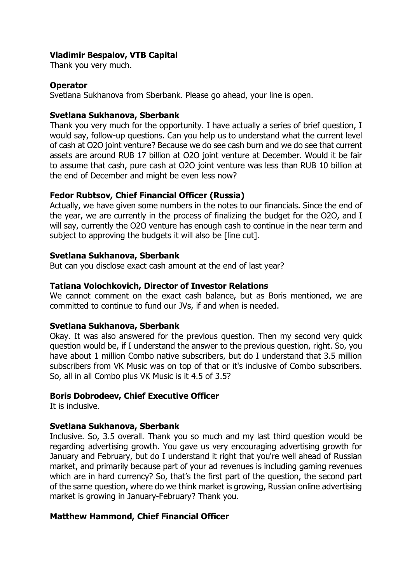# **Vladimir Bespalov, VTB Capital**

Thank you very much.

## **Operator**

Svetlana Sukhanova from Sberbank. Please go ahead, your line is open.

## **Svetlana Sukhanova, Sberbank**

Thank you very much for the opportunity. I have actually a series of brief question, I would say, follow-up questions. Can you help us to understand what the current level of cash at O2O joint venture? Because we do see cash burn and we do see that current assets are around RUB 17 billion at O2O joint venture at December. Would it be fair to assume that cash, pure cash at O2O joint venture was less than RUB 10 billion at the end of December and might be even less now?

## **Fedor Rubtsov, Chief Financial Officer (Russia)**

Actually, we have given some numbers in the notes to our financials. Since the end of the year, we are currently in the process of finalizing the budget for the O2O, and I will say, currently the O2O venture has enough cash to continue in the near term and subject to approving the budgets it will also be [line cut].

## **Svetlana Sukhanova, Sberbank**

But can you disclose exact cash amount at the end of last year?

## **Tatiana Volochkovich, Director of Investor Relations**

We cannot comment on the exact cash balance, but as Boris mentioned, we are committed to continue to fund our JVs, if and when is needed.

#### **Svetlana Sukhanova, Sberbank**

Okay. It was also answered for the previous question. Then my second very quick question would be, if I understand the answer to the previous question, right. So, you have about 1 million Combo native subscribers, but do I understand that 3.5 million subscribers from VK Music was on top of that or it's inclusive of Combo subscribers. So, all in all Combo plus VK Music is it 4.5 of 3.5?

#### **Boris Dobrodeev, Chief Executive Officer**

It is inclusive.

#### **Svetlana Sukhanova, Sberbank**

Inclusive. So, 3.5 overall. Thank you so much and my last third question would be regarding advertising growth. You gave us very encouraging advertising growth for January and February, but do I understand it right that you're well ahead of Russian market, and primarily because part of your ad revenues is including gaming revenues which are in hard currency? So, that's the first part of the question, the second part of the same question, where do we think market is growing, Russian online advertising market is growing in January-February? Thank you.

# **Matthew Hammond, Chief Financial Officer**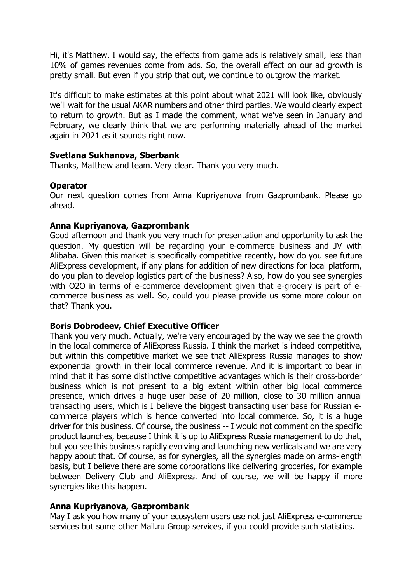Hi, it's Matthew. I would say, the effects from game ads is relatively small, less than 10% of games revenues come from ads. So, the overall effect on our ad growth is pretty small. But even if you strip that out, we continue to outgrow the market.

It's difficult to make estimates at this point about what 2021 will look like, obviously we'll wait for the usual AKAR numbers and other third parties. We would clearly expect to return to growth. But as I made the comment, what we've seen in January and February, we clearly think that we are performing materially ahead of the market again in 2021 as it sounds right now.

## **Svetlana Sukhanova, Sberbank**

Thanks, Matthew and team. Very clear. Thank you very much.

#### **Operator**

Our next question comes from Anna Kupriyanova from Gazprombank. Please go ahead.

## **Anna Kupriyanova, Gazprombank**

Good afternoon and thank you very much for presentation and opportunity to ask the question. My question will be regarding your e-commerce business and JV with Alibaba. Given this market is specifically competitive recently, how do you see future AliExpress development, if any plans for addition of new directions for local platform, do you plan to develop logistics part of the business? Also, how do you see synergies with O2O in terms of e-commerce development given that e-grocery is part of ecommerce business as well. So, could you please provide us some more colour on that? Thank you.

#### **Boris Dobrodeev, Chief Executive Officer**

Thank you very much. Actually, we're very encouraged by the way we see the growth in the local commerce of AliExpress Russia. I think the market is indeed competitive, but within this competitive market we see that AliExpress Russia manages to show exponential growth in their local commerce revenue. And it is important to bear in mind that it has some distinctive competitive advantages which is their cross-border business which is not present to a big extent within other big local commerce presence, which drives a huge user base of 20 million, close to 30 million annual transacting users, which is I believe the biggest transacting user base for Russian ecommerce players which is hence converted into local commerce. So, it is a huge driver for this business. Of course, the business -- I would not comment on the specific product launches, because I think it is up to AliExpress Russia management to do that, but you see this business rapidly evolving and launching new verticals and we are very happy about that. Of course, as for synergies, all the synergies made on arms-length basis, but I believe there are some corporations like delivering groceries, for example between Delivery Club and AliExpress. And of course, we will be happy if more synergies like this happen.

# **Anna Kupriyanova, Gazprombank**

May I ask you how many of your ecosystem users use not just AliExpress e-commerce services but some other Mail.ru Group services, if you could provide such statistics.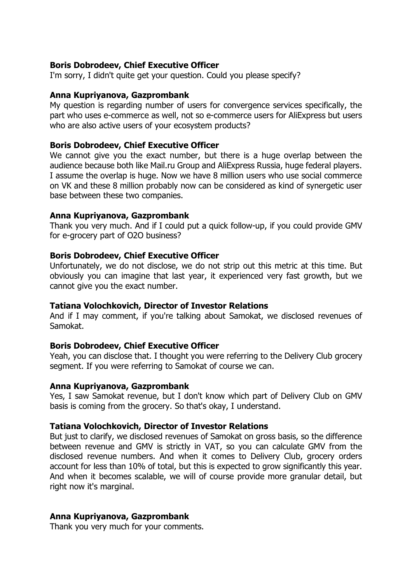## **Boris Dobrodeev, Chief Executive Officer**

I'm sorry, I didn't quite get your question. Could you please specify?

#### **Anna Kupriyanova, Gazprombank**

My question is regarding number of users for convergence services specifically, the part who uses e-commerce as well, not so e-commerce users for AliExpress but users who are also active users of your ecosystem products?

#### **Boris Dobrodeev, Chief Executive Officer**

We cannot give you the exact number, but there is a huge overlap between the audience because both like Mail.ru Group and AliExpress Russia, huge federal players. I assume the overlap is huge. Now we have 8 million users who use social commerce on VK and these 8 million probably now can be considered as kind of synergetic user base between these two companies.

#### **Anna Kupriyanova, Gazprombank**

Thank you very much. And if I could put a quick follow-up, if you could provide GMV for e-grocery part of O2O business?

#### **Boris Dobrodeev, Chief Executive Officer**

Unfortunately, we do not disclose, we do not strip out this metric at this time. But obviously you can imagine that last year, it experienced very fast growth, but we cannot give you the exact number.

#### **Tatiana Volochkovich, Director of Investor Relations**

And if I may comment, if you're talking about Samokat, we disclosed revenues of Samokat.

#### **Boris Dobrodeev, Chief Executive Officer**

Yeah, you can disclose that. I thought you were referring to the Delivery Club grocery segment. If you were referring to Samokat of course we can.

#### **Anna Kupriyanova, Gazprombank**

Yes, I saw Samokat revenue, but I don't know which part of Delivery Club on GMV basis is coming from the grocery. So that's okay, I understand.

#### **Tatiana Volochkovich, Director of Investor Relations**

But just to clarify, we disclosed revenues of Samokat on gross basis, so the difference between revenue and GMV is strictly in VAT, so you can calculate GMV from the disclosed revenue numbers. And when it comes to Delivery Club, grocery orders account for less than 10% of total, but this is expected to grow significantly this year. And when it becomes scalable, we will of course provide more granular detail, but right now it's marginal.

#### **Anna Kupriyanova, Gazprombank**

Thank you very much for your comments.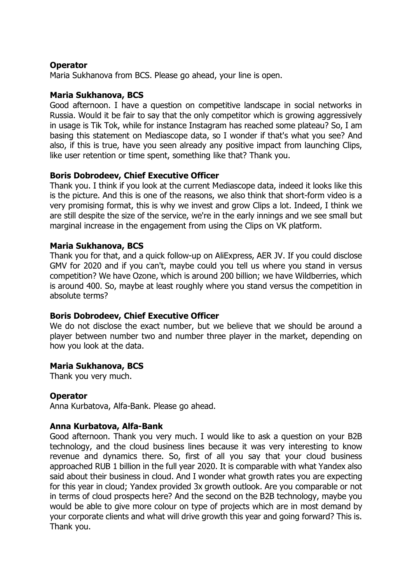## **Operator**

Maria Sukhanova from BCS. Please go ahead, your line is open.

## **Maria Sukhanova, BCS**

Good afternoon. I have a question on competitive landscape in social networks in Russia. Would it be fair to say that the only competitor which is growing aggressively in usage is Tik Tok, while for instance Instagram has reached some plateau? So, I am basing this statement on Mediascope data, so I wonder if that's what you see? And also, if this is true, have you seen already any positive impact from launching Clips, like user retention or time spent, something like that? Thank you.

## **Boris Dobrodeev, Chief Executive Officer**

Thank you. I think if you look at the current Mediascope data, indeed it looks like this is the picture. And this is one of the reasons, we also think that short-form video is a very promising format, this is why we invest and grow Clips a lot. Indeed, I think we are still despite the size of the service, we're in the early innings and we see small but marginal increase in the engagement from using the Clips on VK platform.

## **Maria Sukhanova, BCS**

Thank you for that, and a quick follow-up on AliExpress, AER JV. If you could disclose GMV for 2020 and if you can't, maybe could you tell us where you stand in versus competition? We have Ozone, which is around 200 billion; we have Wildberries, which is around 400. So, maybe at least roughly where you stand versus the competition in absolute terms?

#### **Boris Dobrodeev, Chief Executive Officer**

We do not disclose the exact number, but we believe that we should be around a player between number two and number three player in the market, depending on how you look at the data.

#### **Maria Sukhanova, BCS**

Thank you very much.

#### **Operator**

Anna Kurbatova, Alfa-Bank. Please go ahead.

#### **Anna Kurbatova, Alfa-Bank**

Good afternoon. Thank you very much. I would like to ask a question on your B2B technology, and the cloud business lines because it was very interesting to know revenue and dynamics there. So, first of all you say that your cloud business approached RUB 1 billion in the full year 2020. It is comparable with what Yandex also said about their business in cloud. And I wonder what growth rates you are expecting for this year in cloud; Yandex provided 3x growth outlook. Are you comparable or not in terms of cloud prospects here? And the second on the B2B technology, maybe you would be able to give more colour on type of projects which are in most demand by your corporate clients and what will drive growth this year and going forward? This is. Thank you.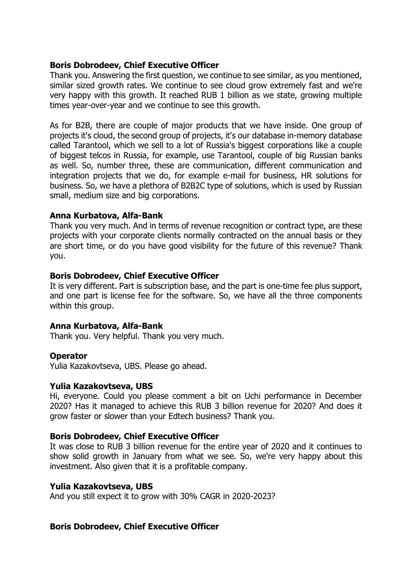## **Boris Dobrodeev, Chief Executive Officer**

Thank you. Answering the first question, we continue to see similar, as you mentioned, similar sized growth rates. We continue to see cloud grow extremely fast and we're very happy with this growth. It reached RUB 1 billion as we state, growing multiple times year-over-year and we continue to see this growth.

As for B2B, there are couple of major products that we have inside. One group of projects it's cloud, the second group of projects, it's our database in-memory database called Tarantool, which we sell to a lot of Russia's biggest corporations like a couple of biggest telcos in Russia, for example, use Tarantool, couple of big Russian banks as well. So, number three, these are communication, different communication and integration projects that we do, for example e-mail for business, HR solutions for business. So, we have a plethora of B2B2C type of solutions, which is used by Russian small, medium size and big corporations.

## **Anna Kurbatova, Alfa-Bank**

Thank you very much. And in terms of revenue recognition or contract type, are these projects with your corporate clients normally contracted on the annual basis or they are short time, or do you have good visibility for the future of this revenue? Thank you.

#### **Boris Dobrodeev, Chief Executive Officer**

It is very different. Part is subscription base, and the part is one-time fee plus support, and one part is license fee for the software. So, we have all the three components within this group.

#### **Anna Kurbatova, Alfa-Bank**

Thank you. Very helpful. Thank you very much.

#### **Operator**

Yulia Kazakovtseva, UBS. Please go ahead.

#### **Yulia Kazakovtseva, UBS**

Hi, everyone. Could you please comment a bit on Uchi performance in December 2020? Has it managed to achieve this RUB 3 billion revenue for 2020? And does it grow faster or slower than your Edtech business? Thank you.

#### **Boris Dobrodeev, Chief Executive Officer**

It was close to RUB 3 billion revenue for the entire year of 2020 and it continues to show solid growth in January from what we see. So, we're very happy about this investment. Also given that it is a profitable company.

#### **Yulia Kazakovtseva, UBS**

And you still expect it to grow with 30% CAGR in 2020-2023?

#### **Boris Dobrodeev, Chief Executive Officer**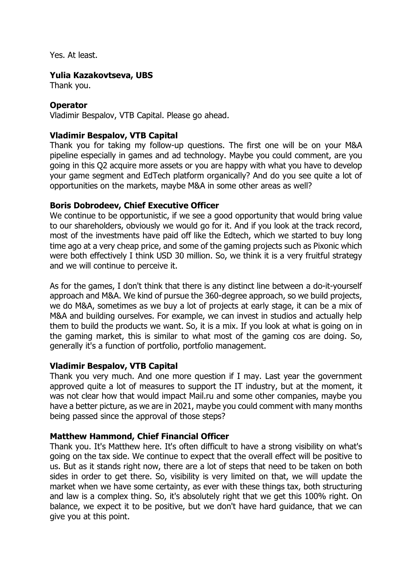Yes. At least.

#### **Yulia Kazakovtseva, UBS**

Thank you.

## **Operator**

Vladimir Bespalov, VTB Capital. Please go ahead.

## **Vladimir Bespalov, VTB Capital**

Thank you for taking my follow-up questions. The first one will be on your M&A pipeline especially in games and ad technology. Maybe you could comment, are you going in this Q2 acquire more assets or you are happy with what you have to develop your game segment and EdTech platform organically? And do you see quite a lot of opportunities on the markets, maybe M&A in some other areas as well?

#### **Boris Dobrodeev, Chief Executive Officer**

We continue to be opportunistic, if we see a good opportunity that would bring value to our shareholders, obviously we would go for it. And if you look at the track record, most of the investments have paid off like the Edtech, which we started to buy long time ago at a very cheap price, and some of the gaming projects such as Pixonic which were both effectively I think USD 30 million. So, we think it is a very fruitful strategy and we will continue to perceive it.

As for the games, I don't think that there is any distinct line between a do-it-yourself approach and M&A. We kind of pursue the 360-degree approach, so we build projects, we do M&A, sometimes as we buy a lot of projects at early stage, it can be a mix of M&A and building ourselves. For example, we can invest in studios and actually help them to build the products we want. So, it is a mix. If you look at what is going on in the gaming market, this is similar to what most of the gaming cos are doing. So, generally it's a function of portfolio, portfolio management.

#### **Vladimir Bespalov, VTB Capital**

Thank you very much. And one more question if I may. Last year the government approved quite a lot of measures to support the IT industry, but at the moment, it was not clear how that would impact Mail.ru and some other companies, maybe you have a better picture, as we are in 2021, maybe you could comment with many months being passed since the approval of those steps?

#### **Matthew Hammond, Chief Financial Officer**

Thank you. It's Matthew here. It's often difficult to have a strong visibility on what's going on the tax side. We continue to expect that the overall effect will be positive to us. But as it stands right now, there are a lot of steps that need to be taken on both sides in order to get there. So, visibility is very limited on that, we will update the market when we have some certainty, as ever with these things tax, both structuring and law is a complex thing. So, it's absolutely right that we get this 100% right. On balance, we expect it to be positive, but we don't have hard guidance, that we can give you at this point.